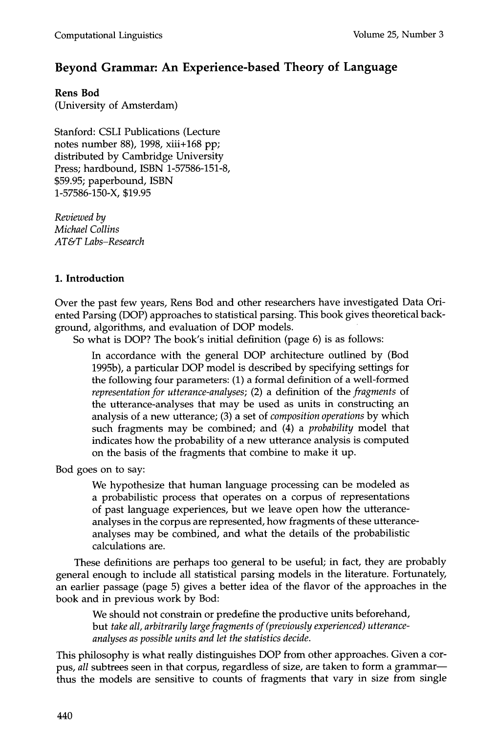# **Beyond Grammar: An Experience-based Theory of Language**

**Rens Bod** 

(University of Amsterdam)

Stanford: CSLI Publications (Lecture notes number 88), 1998, xiii+168 pp; distributed by Cambridge University Press; hardbound, ISBN 1-57586-151-8, \$59.95; paperbound, ISBN 1-57586-150-X, \$19.95

*Reviewed by Michael Collins AT&T Labs-Research* 

# **1. Introduction**

Over the past few years, Rens Bod and other researchers have investigated Data Oriented Parsing (DOP) approaches to statistical parsing. This book gives theoretical background, algorithms, and evaluation of DOP models.

So what is DOP? The book's initial definition (page 6) is as follows:

In accordance with the general DOP architecture outlined by (Bod 1995b), a particular DOP model is described by specifying settings for the following four parameters: (1) a formal definition of a well-formed *representation for utterance-analyses;* (2) a definition of the *fragments* of the utterance-analyses that may be used as units in constructing an analysis of a new utterance; (3) a set of *composition operations* by which such fragments may be combined; and (4) a *probability* model that indicates how the probability of a new utterance analysis is computed on the basis of the fragments that combine to make it up.

Bod goes on to say:

We hypothesize that human language processing can be modeled as a probabilistic process that operates on a corpus of representations of past language experiences, but we leave open how the utteranceanalyses in the corpus are represented, how fragments of these utteranceanalyses may be combined, and what the details of the probabilistic calculations are.

These definitions are perhaps too general to be useful; in fact, they are probably general enough to include all statistical parsing models in the literature. Fortunately, an earlier passage (page 5) gives a better idea of the flavor of the approaches in the book and in previous work by Bod:

We should not constrain or predefine the productive units beforehand, but *take all, arbitrarily large fragments of (previously experienced) utteranceanalyses as possible units and let the statistics decide.* 

This philosophy is what really distinguishes DOP from other approaches. Given a corpus, *all* subtrees seen in that corpus, regardless of size, are taken to form a grammarthus the models are sensitive to counts of fragments that vary in size from single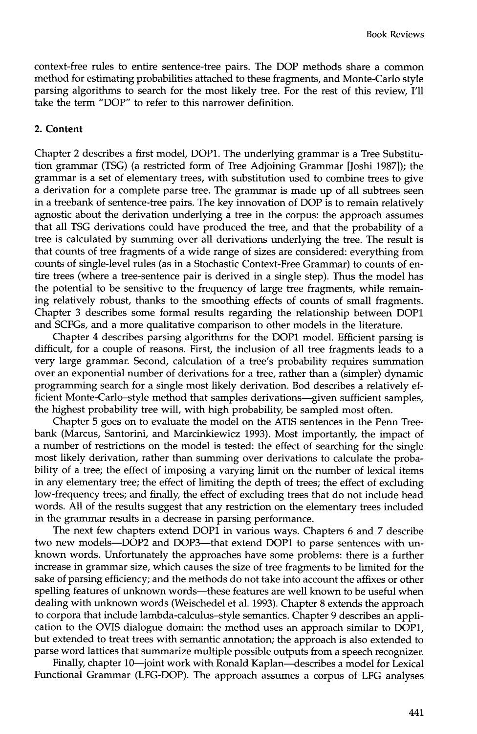context-free rules to entire sentence-tree pairs. The DOP methods share a common method for estimating probabilities attached to these fragments, and Monte-Carlo style parsing algorithms to search for the most likely tree. For the rest of this review, I'll take the term "DOP" to refer to this narrower definition.

### **2. Content**

Chapter 2 describes a first model, DOP1. The underlying grammar is a Tree Substitution grammar (TSG) (a restricted form of Tree Adjoining Grammar [Joshi 1987]); the grammar is a set of elementary trees, with substitution used to combine trees to give a derivation for a complete parse tree. The grammar is made up of all subtrees seen in a treebank of sentence-tree pairs. The key innovation of DOP is to remain relatively agnostic about the derivation underlying a tree in the corpus: the approach assumes that all TSG derivations could have produced the tree, and that the probability of a tree is calculated by summing over all derivations underlying the tree. The result is that counts of tree fragments of a wide range of sizes are considered: everything from counts of single-level rules (as in a Stochastic Context-Free Grammar) to counts of entire trees (where a tree-sentence pair is derived in a single step). Thus the model has the potential to be sensitive to the frequency of large tree fragments, while remaining relatively robust, thanks to the smoothing effects of counts of small fragments. Chapter 3 describes some formal results regarding the relationship between DOP1 and SCFGs, and a more qualitative comparison to other models in the literature.

Chapter 4 describes parsing algorithms for the DOP1 model. Efficient parsing is difficult, for a couple of reasons. First, the inclusion of all tree fragments leads to a very large grammar. Second, calculation of a tree's probability requires summation over an exponential number of derivations for a tree, rather than a (simpler) dynamic programming search for a single most likely derivation. Bod describes a relatively efficient Monte-Carlo-style method that samples derivations--given sufficient samples, the highest probability tree will, with high probability, be sampled most often.

Chapter 5 goes on to evaluate the model on the ATIS sentences in the Penn Treebank (Marcus, Santorini, and Marcinkiewicz 1993). Most importantly, the impact of a number of restrictions on the model is tested: the effect of searching for the single most likely derivation, rather than summing over derivations to calculate the probability of a tree; the effect of imposing a varying limit on the number of lexical items in any elementary tree; the effect of limiting the depth of trees; the effect of excluding low-frequency trees; and finally, the effect of excluding trees that do not include head words. All of the results suggest that any restriction on the elementary trees included in the grammar results in a decrease in parsing performance.

The next few chapters extend DOP1 in various ways. Chapters 6 and 7 describe two new models-DOP2 and DOP3-that extend DOP1 to parse sentences with unknown words. Unfortunately the approaches have some problems: there is a further increase in grammar size, which causes the size of tree fragments to be limited for the sake of parsing efficiency; and the methods do not take into account the affixes or other spelling features of unknown words-these features are well known to be useful when dealing with unknown words (Weischedel et al. 1993). Chapter 8 extends the approach to corpora that include lambda-calculus-style semantics. Chapter 9 describes an application to the OVIS dialogue domain: the method uses an approach similar to DOP1, but extended to treat trees with semantic annotation; the approach is also extended to parse word lattices that summarize multiple possible outputs from a speech recognizer.

Finally, chapter 10-joint work with Ronald Kaplan-describes a model for Lexical Functional Grammar (LFG-DOP). The approach assumes a corpus of LFG analyses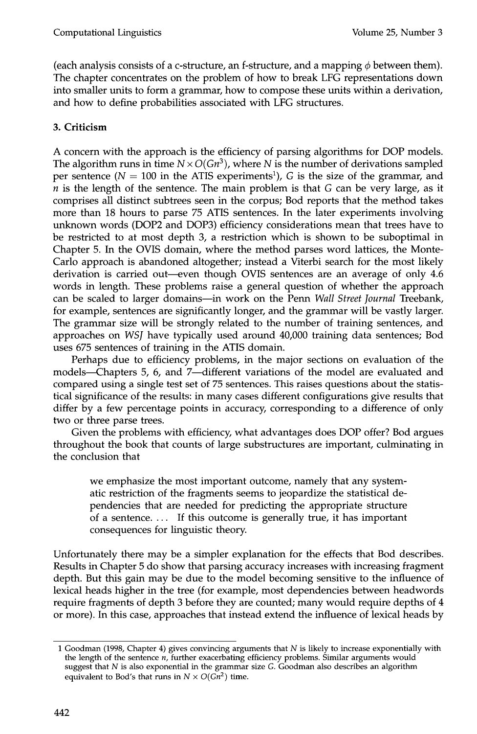(each analysis consists of a c-structure, an f-structure, and a mapping  $\phi$  between them). The chapter concentrates on the problem of how to break LFG representations down into smaller units to form a grammar, how to compose these units within a derivation, and how to define probabilities associated with LFG structures.

# **3. Criticism**

A concern with the approach is the efficiency of parsing algorithms for DOP models. The algorithm runs in time  $N \times O(\frac{Gn^3}{N})$ , where N is the number of derivations sampled per sentence ( $N = 100$  in the ATIS experiments<sup>1</sup>), G is the size of the grammar, and *n* is the length of the sentence. The main problem is that G can be very large, as it comprises all distinct subtrees seen in the corpus; Bod reports that the method takes more than 18 hours to parse 75 ATIS sentences. In the later experiments involving unknown words (DOP2 and DOP3) efficiency considerations mean that trees have to be restricted to at most depth 3, a restriction which is shown to be suboptimal in Chapter 5. In the OVIS domain, where the method parses word lattices, the Monte-Carlo approach is abandoned altogether; instead a Viterbi search for the most likely derivation is carried out—even though OVIS sentences are an average of only 4.6 words in length. These problems raise a general question of whether the approach can be scaled to larger domains--in work on the Penn *Wall Street Journal* Treebank, for example, sentences are significantly longer, and the grammar will be vastly larger. The grammar size will be strongly related to the number of training sentences, and approaches on *WSJ* have typically used around 40,000 training data sentences; Bod uses 675 sentences of training in the ATIS domain.

Perhaps due to efficiency problems, in the major sections on evaluation of the models--Chapters 5, 6, and 7--different variations of the model are evaluated and compared using a single test set of 75 sentences. This raises questions about the statistical significance of the results: in many cases different configurations give results that differ by a few percentage points in accuracy, corresponding to a difference of only two or three parse trees.

Given the problems with efficiency, what advantages does DOP offer? Bod argues throughout the book that counts of large substructures are important, culminating in the conclusion that

we emphasize the most important outcome, namely that any systematic restriction of the fragments seems to jeopardize the statistical dependencies that are needed for predicting the appropriate structure of a sentence.  $\dots$  If this outcome is generally true, it has important consequences for linguistic theory.

Unfortunately there may be a simpler explanation for the effects that Bod describes. Results in Chapter 5 do show that parsing accuracy increases with increasing fragment depth. But this gain may be due to the model becoming sensitive to the influence of lexical heads higher in the tree (for example, most dependencies between headwords require fragments of depth 3 before they are counted; many would require depths of 4 or more). In this case, approaches that instead extend the influence of lexical heads by

<sup>1</sup> Goodman (1998, Chapter 4) gives convincing arguments that  $N$  is likely to increase exponentially with the length of the sentence n, further exacerbating efficiency problems. Similar arguments would suggest that N is also exponential in the grammar size G. Goodman also describes an algorithm equivalent to Bod's that runs in  $N \times O(Gn^2)$  time.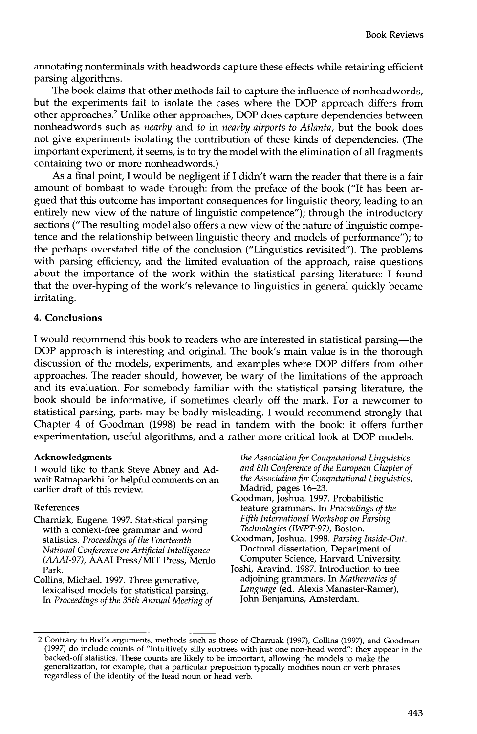annotating nonterminals with headwords capture these effects while retaining efficient parsing algorithms.

The book claims that other methods fail to capture the influence of nonheadwords, but the experiments fail to isolate the cases where the DOP approach differs from other approaches. 2 Unlike other approaches, DOP does capture dependencies between nonheadwords such as *nearby* and *to in nearby airports to Atlanta,* but the book does not give experiments isolating the contribution of these kinds of dependencies. (The important experiment, it seems, is to try the model with the elimination of all fragments containing two or more nonheadwords.)

As a final point, I would be negligent if I didn't warn the reader that there is a fair amount of bombast to wade through: from the preface of the book ("It has been argued that this outcome has important consequences for linguistic theory, leading to an entirely new view of the nature of linguistic competence"); through the introductory sections ("The resulting model also offers a new view of the nature of linguistic competence and the relationship between linguistic theory and models of performance"); to the perhaps overstated title of the conclusion ("Linguistics revisited"). The problems with parsing efficiency, and the limited evaluation of the approach, raise questions about the importance of the work within the statistical parsing literature: I found that the over-hyping of the work's relevance to linguistics in general quickly became irritating.

### **4. Conclusions**

I would recommend this book to readers who are interested in statistical parsing--the DOP approach is interesting and original. The book's main value is in the thorough discussion of the models, experiments, and examples where DOP differs from other approaches. The reader should, however, be wary of the limitations of the approach and its evaluation. For somebody familiar with the statistical parsing literature, the book should be informative, if sometimes clearly off the mark. For a newcomer to statistical parsing, parts may be badly misleading. I would recommend strongly that Chapter 4 of Goodman (1998) be read in tandem with the book: it offers further experimentation, useful algorithms, and a rather more critical look at DOP models.

#### **Acknowledgments**

I would like to thank Steve Abney and Adwait Ratnaparkhi for helpful comments on an earlier draft of this review.

#### **References**

Charniak, Eugene. 1997. Statistical parsing with a context-free grammar and word statistics. *Proceedings of the Fourteenth National Conference on Artificial Intelligence (AAAI-97),* AAAI Press/MIT Press, Menlo Park.

Collins, Michael. 1997. Three generative, lexicalised models for statistical parsing. *In Proceedings of the 35th Annual Meeting of*  *the Association for Computational Linguistics and 8th Conference of the European Chapter of the Association for Computational Linguistics,*  Madrid, pages 16-23.

- Goodman, Joshua. 1997. Probabilistic feature grammars. In *Proceedings of the Fifth International Workshop on Parsing Technologies (IWPT-97) ,* Boston.
- Goodman, Joshua. 1998. *Parsing Inside-Out.*  Doctoral dissertation, Department of Computer Science, Harvard University.
- Joshi, Aravind. 1987. Introduction to tree adjoining grammars. In *Mathematics of Language* (ed. Alexis Manaster-Ramer), John Benjamins, Amsterdam.

<sup>2</sup> Contrary to Bod's arguments, methods such as those of Charniak (1997), Collins (1997), and Goodman (1997) do include counts of "intuitively silly subtrees with just one non-head word": they appear in the backed-off statistics. These counts are likely to be important, allowing the models to make the generalization, for example, that a particular preposition typically modifies noun or verb phrases regardless of the identity of the head noun or head verb.